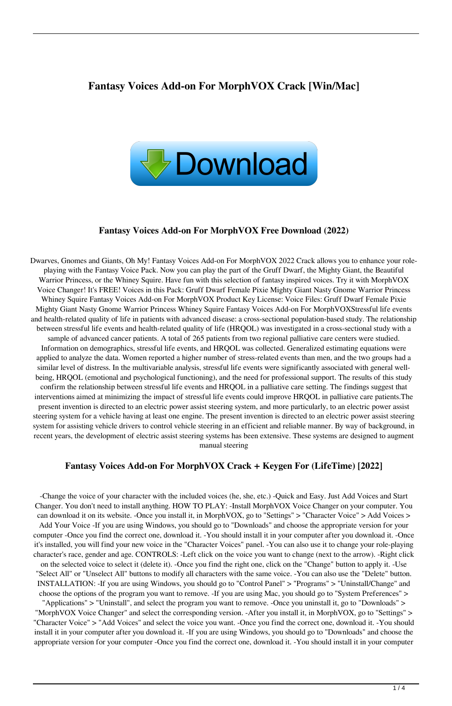## **Fantasy Voices Add-on For MorphVOX Crack [Win/Mac]**



#### **Fantasy Voices Add-on For MorphVOX Free Download (2022)**

Dwarves, Gnomes and Giants, Oh My! Fantasy Voices Add-on For MorphVOX 2022 Crack allows you to enhance your roleplaying with the Fantasy Voice Pack. Now you can play the part of the Gruff Dwarf, the Mighty Giant, the Beautiful Warrior Princess, or the Whiney Squire. Have fun with this selection of fantasy inspired voices. Try it with MorphVOX Voice Changer! It's FREE! Voices in this Pack: Gruff Dwarf Female Pixie Mighty Giant Nasty Gnome Warrior Princess Whiney Squire Fantasy Voices Add-on For MorphVOX Product Key License: Voice Files: Gruff Dwarf Female Pixie Mighty Giant Nasty Gnome Warrior Princess Whiney Squire Fantasy Voices Add-on For MorphVOXStressful life events and health-related quality of life in patients with advanced disease: a cross-sectional population-based study. The relationship between stressful life events and health-related quality of life (HRQOL) was investigated in a cross-sectional study with a sample of advanced cancer patients. A total of 265 patients from two regional palliative care centers were studied. Information on demographics, stressful life events, and HRQOL was collected. Generalized estimating equations were applied to analyze the data. Women reported a higher number of stress-related events than men, and the two groups had a similar level of distress. In the multivariable analysis, stressful life events were significantly associated with general wellbeing, HRQOL (emotional and psychological functioning), and the need for professional support. The results of this study confirm the relationship between stressful life events and HRQOL in a palliative care setting. The findings suggest that interventions aimed at minimizing the impact of stressful life events could improve HRQOL in palliative care patients.The present invention is directed to an electric power assist steering system, and more particularly, to an electric power assist steering system for a vehicle having at least one engine. The present invention is directed to an electric power assist steering system for assisting vehicle drivers to control vehicle steering in an efficient and reliable manner. By way of background, in recent years, the development of electric assist steering systems has been extensive. These systems are designed to augment manual steering

#### **Fantasy Voices Add-on For MorphVOX Crack + Keygen For (LifeTime) [2022]**

-Change the voice of your character with the included voices (he, she, etc.) -Quick and Easy. Just Add Voices and Start Changer. You don't need to install anything. HOW TO PLAY: -Install MorphVOX Voice Changer on your computer. You can download it on its website. -Once you install it, in MorphVOX, go to "Settings" > "Character Voice" > Add Voices > Add Your Voice -If you are using Windows, you should go to "Downloads" and choose the appropriate version for your computer -Once you find the correct one, download it. -You should install it in your computer after you download it. -Once it's installed, you will find your new voice in the "Character Voices" panel. -You can also use it to change your role-playing character's race, gender and age. CONTROLS: -Left click on the voice you want to change (next to the arrow). -Right click on the selected voice to select it (delete it). -Once you find the right one, click on the "Change" button to apply it. -Use "Select All" or "Unselect All" buttons to modify all characters with the same voice. -You can also use the "Delete" button. INSTALLATION: -If you are using Windows, you should go to "Control Panel" > "Programs" > "Uninstall/Change" and choose the options of the program you want to remove. -If you are using Mac, you should go to "System Preferences" > "Applications" > "Uninstall", and select the program you want to remove. -Once you uninstall it, go to "Downloads" >

"MorphVOX Voice Changer" and select the corresponding version. -After you install it, in MorphVOX, go to "Settings" > "Character Voice" > "Add Voices" and select the voice you want. -Once you find the correct one, download it. -You should install it in your computer after you download it. -If you are using Windows, you should go to "Downloads" and choose the appropriate version for your computer -Once you find the correct one, download it. -You should install it in your computer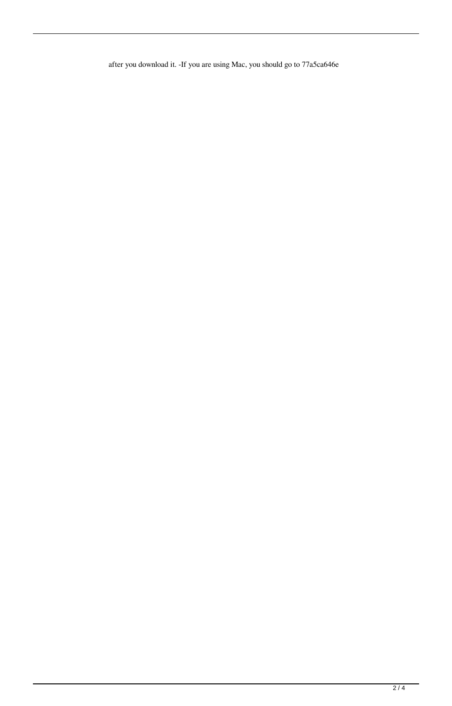after you download it. -If you are using Mac, you should go to 77a5ca646e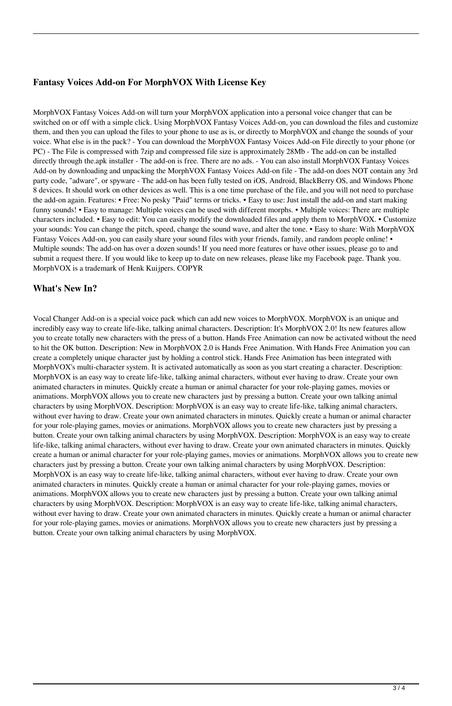### **Fantasy Voices Add-on For MorphVOX With License Key**

MorphVOX Fantasy Voices Add-on will turn your MorphVOX application into a personal voice changer that can be switched on or off with a simple click. Using MorphVOX Fantasy Voices Add-on, you can download the files and customize them, and then you can upload the files to your phone to use as is, or directly to MorphVOX and change the sounds of your voice. What else is in the pack? - You can download the MorphVOX Fantasy Voices Add-on File directly to your phone (or PC) - The File is compressed with 7zip and compressed file size is approximately 28Mb - The add-on can be installed directly through the.apk installer - The add-on is free. There are no ads. - You can also install MorphVOX Fantasy Voices Add-on by downloading and unpacking the MorphVOX Fantasy Voices Add-on file - The add-on does NOT contain any 3rd party code, "adware", or spyware - The add-on has been fully tested on iOS, Android, BlackBerry OS, and Windows Phone 8 devices. It should work on other devices as well. This is a one time purchase of the file, and you will not need to purchase the add-on again. Features: • Free: No pesky "Paid" terms or tricks. • Easy to use: Just install the add-on and start making funny sounds! • Easy to manage: Multiple voices can be used with different morphs. • Multiple voices: There are multiple characters included. • Easy to edit: You can easily modify the downloaded files and apply them to MorphVOX. • Customize your sounds: You can change the pitch, speed, change the sound wave, and alter the tone. • Easy to share: With MorphVOX Fantasy Voices Add-on, you can easily share your sound files with your friends, family, and random people online! • Multiple sounds: The add-on has over a dozen sounds! If you need more features or have other issues, please go to and submit a request there. If you would like to keep up to date on new releases, please like my Facebook page. Thank you. MorphVOX is a trademark of Henk Kuijpers. COPYR

### **What's New In?**

Vocal Changer Add-on is a special voice pack which can add new voices to MorphVOX. MorphVOX is an unique and incredibly easy way to create life-like, talking animal characters. Description: It's MorphVOX 2.0! Its new features allow you to create totally new characters with the press of a button. Hands Free Animation can now be activated without the need to hit the OK button. Description: New in MorphVOX 2.0 is Hands Free Animation. With Hands Free Animation you can create a completely unique character just by holding a control stick. Hands Free Animation has been integrated with MorphVOX's multi-character system. It is activated automatically as soon as you start creating a character. Description: MorphVOX is an easy way to create life-like, talking animal characters, without ever having to draw. Create your own animated characters in minutes. Quickly create a human or animal character for your role-playing games, movies or animations. MorphVOX allows you to create new characters just by pressing a button. Create your own talking animal characters by using MorphVOX. Description: MorphVOX is an easy way to create life-like, talking animal characters, without ever having to draw. Create your own animated characters in minutes. Quickly create a human or animal character for your role-playing games, movies or animations. MorphVOX allows you to create new characters just by pressing a button. Create your own talking animal characters by using MorphVOX. Description: MorphVOX is an easy way to create life-like, talking animal characters, without ever having to draw. Create your own animated characters in minutes. Quickly create a human or animal character for your role-playing games, movies or animations. MorphVOX allows you to create new characters just by pressing a button. Create your own talking animal characters by using MorphVOX. Description: MorphVOX is an easy way to create life-like, talking animal characters, without ever having to draw. Create your own animated characters in minutes. Quickly create a human or animal character for your role-playing games, movies or animations. MorphVOX allows you to create new characters just by pressing a button. Create your own talking animal characters by using MorphVOX. Description: MorphVOX is an easy way to create life-like, talking animal characters, without ever having to draw. Create your own animated characters in minutes. Quickly create a human or animal character for your role-playing games, movies or animations. MorphVOX allows you to create new characters just by pressing a button. Create your own talking animal characters by using MorphVOX.